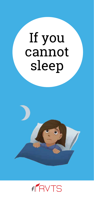# If you cannot sleep



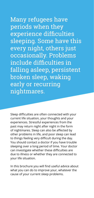Many refugees have periods when they experience difficulties sleeping. Some have this every night, others just occasionally. Problems include difficulties in falling asleep, persistent broken sleep, waking early or recurring nightmares.

Sleep difficulties are often connected with your current life situation, your thoughts and your experiences. Stressful experiences from the past may return night after night in the form of nightmares. Sleep can also be affected by other problems in life, and poor sleep can lead to things feeling very difficult during the day. You should contact a doctor if you have trouble sleeping over a long period of time. Your doctor can investigate whether these difficulties are due to illness or whether they are connected to your life situation.

In this brochure you will find useful advice about what you can do to improve your, whatever the cause of your current sleep problems.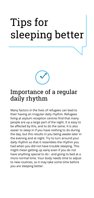## Tips for sleeping better



Many factors in the lives of refugees can lead to their having an irregular daily rhythm. Refugees living at asylum reception centres find that many people are up a large part of the night. It is easy to be affected by this, and to do the same. It is also easier to sleep in if you have nothing to do during the day, but this results in you being awake later in the evening and at night. Try to turn around your daily rhythm so that it resembles the rhythm you had when you did not have trouble sleeping. This might mean getting up early even if you do not have anything special to do - and going to bed at a more normal time. Your body needs time to adjust to new routines, so it may take some time before you are sleeping better.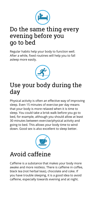

#### Do the same thing every evening before you go to bed

Regular habits help your body to function well. After a while, fixed routines will help you to fall asleep more easily.



#### Use your body during the day

Physical activity is often an effective way of improving sleep. Even 15 minutes of exercise per day means that your body is more relaxed when it is time to sleep. You could take a brisk walk before you go to bed, for example, although you should allow at least 30 minutes between exercise/physical activity and going to bed. This allows your body time to wind down. Good sex is also excellent to sleep better.



### Avoid caffeine

Caffeine is a substance that makes your body more awake and more restless. There is caffeine in coffee, black tea (not herbal teas), chocolate and coke. If you have trouble sleeping, it is a good idea to avoid caffeine, especially towards evening and at night.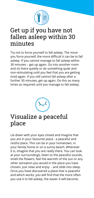

#### Get up if you have not fallen asleep within 30 minutes

Try not to force yourself to fall asleep. The more you force yourself, the more difficult it can be to fall asleep. If you cannot manage to fall asleep within 30 minutes – get up again. Go into another room and sit there quietly or do something quiet and non-stimulating until you feel that you are getting tired again. If you still cannot fall asleep after a further 30 minutes, get up again. Do this as many times as required until you manage to fall asleep.



#### Visualize a peaceful place

Lie down with your eyes closed and imagine that you are in your favourite place - a peaceful and restful place. This can be in your hometown, in your family home or on a sunny beach. Wherever it is, imagine that you are really there. You can look at your surroundings, listen to the peaceful sounds, smell the flowers, feel the warmth of the sun or any other sensation you would in the place you have chosen. Just relax and enjoy - and slide into sleep. Once you have discovered a place that is peaceful and which works, you will find that the more often you use it to fall asleep, the easier it will become.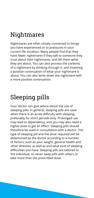## Nightmares

Nightmares are often closely connected to things you have experienced or to pressures in your current life situation. Many people find that they have fewer nightmares if they talk to someone they trust about their nightmares, and tell them what they are about. You can also process the contents of a nightmare by thinking through it, and inventing a positive continuation of what your nightmare is about. You can also write down the nightmare with a more positive continuation.

## Sleeping pills

Your doctor can give advice about the use of sleeping pills. In general, sleeping pills are used when there is an acute difficulty with sleeping, preferably for short periods only. Prolonged use may lead to dependency, and you may also need a higher dose to get an effect. Sleeping pills should therefore be used in consultation with a doctor. The type of sleeping pill and the dose required will be determined by the doctor according to a number of factors, such as your weight, general health and other illnesses, as well as and what kind of sleeping difficulties you have. Sleeping pills are tailored to the individual, so never swap pills with others or take more than the prescribed dose.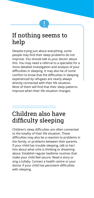#### If nothing seems to help

Despite trying just about everything, some people may find their sleep problems do not improve. You should talk to your doctor about this. You may need a referral to a specialist for a more detailed investigation and analysis of your difficulties in sleeping. It may also be of some comfort to know that the difficulties in sleeping experienced by refugees are nearly always directly connected with their life situation. Most of them will find that their sleep patterns improve when their life situation changes.

## Children also have difficulty sleeping

Children's sleep difficulties are often connected to the totality of their life situation. These difficulties may also be a reaction to problems in the family, or problems between their parents. If your child has trouble sleeping, talk to her/ him about what s/he is thinking or dreaming about. Establish regular bedtime routines that make your child feel secure. Read a story or sing a lullaby. Contact a health centre or your doctor if your child has persistent difficulties with sleeping.